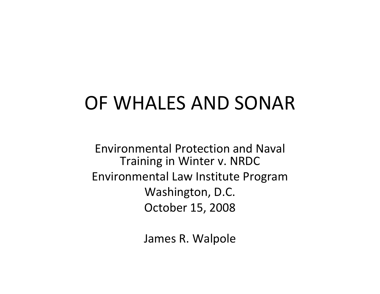#### OF WHALES AND SONAR

Environmental Protection and Naval Training in Winter v. NRDC Environmental Law Institute Program Washington, D.C. October 15, 2008

James R. Walpole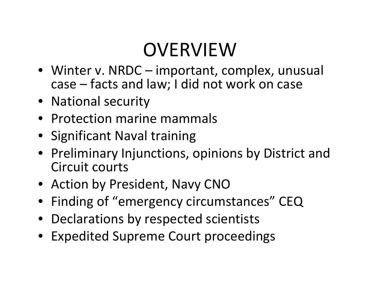### OVERVIEW

- Winter v. NRDC important, complex, unusual case – facts and law; I did not work on case
- National security
- Protection marine mammals
- Significant Naval training
- Preliminary Injunctions, opinions by District and Circuit courts
- Action by President, Navy CNO
- Finding of "emergency circumstances" CEQ
- Declarations by respected scientists
- Expedited Supreme Court proceedings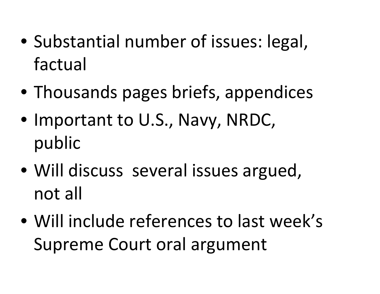- Substantial number of issues: legal, factual
- Thousands pages briefs, appendices
- Important to U.S., Navy, NRDC, public
- Will discuss several issues argued, not all
- Will include references to last week's Supreme Court oral argument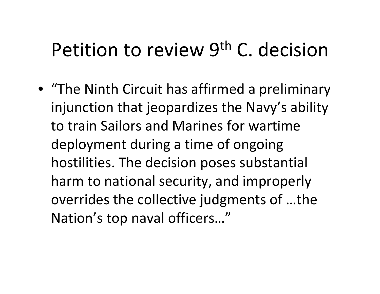#### Petition to review 9<sup>th</sup> C. decision

• "The Ninth Circuit has affirmed <sup>a</sup> preliminary injunction that jeopardizes the Navy's ability to train Sailors and Marines for wartime deployment during <sup>a</sup> time of ongoing hostilities. The decision poses substantial harm to national security, and improperly overrides the collective judgments of …the Nation's top naval officers…"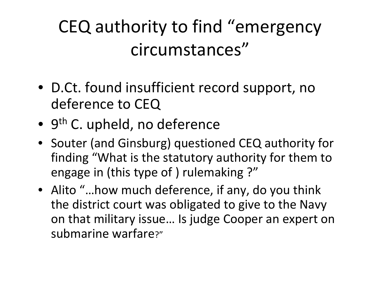#### CEQ authority to find "emergency circumstances"

- D.Ct. found insufficient record support, no deference to CEQ
- 9<sup>th</sup> C. upheld, no deference
- Souter (and Ginsburg) questioned CEQ authority for finding "What is the statutory authority for them to engage in (this type of ) rulemaking ?"
- Alito "…how much deference, if any, do you think the district court was obligated to give to the Navy on that military issue… Is judge Cooper an expert on submarine warfare?"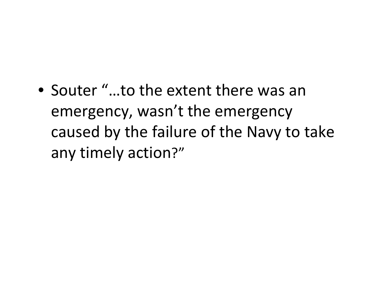• Souter "…to the extent there was an emergency, wasn't the emergency caused by the failure of the Navy to take any timely action?"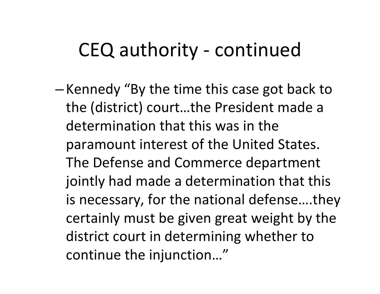#### CEQ authority ‐ continued

–—Kennedy "By the time this case got back to the (district) court…the President made <sup>a</sup> determination that this was in the paramount interest of the United States. The Defense and Commerce department jointly had made <sup>a</sup> determination that this is necessary, for the national defense….they certainly must be given great weight by the district court in determining whether to continue the injunction…"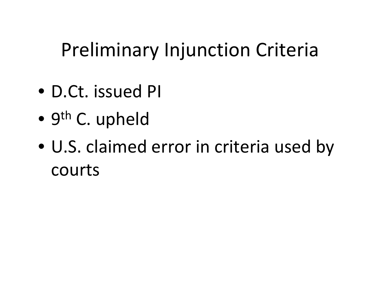## Preliminary Injunction Criteria

- D.Ct. issued PI
- $\bullet$ • 9<sup>th</sup> C. upheld
- U.S. claimed error in criteria used by courts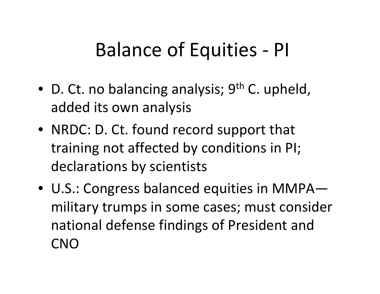### Balance of Equities ‐ PI

- D. Ct. no balancing analysis; 9<sup>th</sup> C. upheld, added its own analysis
- NRDC: D. Ct. found record support that training not affected by conditions in PI; declarations by scientists
- U.S.: Congress balanced equities in MMPA military trumps in some cases; must consider national defense findings of President and CNO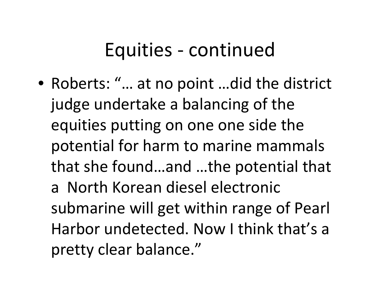#### Equities ‐ continued

• Roberts: "… at no point …did the district judge undertake <sup>a</sup> balancing of the equities putting on one one side the potential for harm to marine mammals that she found…and …the potential that a North Korean diesel electronic submarine will get within range of Pearl Harbor undetected. Now I think that's <sup>a</sup> pretty clear balance."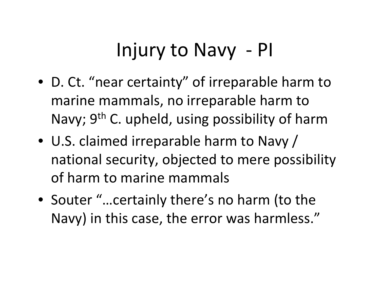## Injury to Navy ‐ PI

- D. Ct. "near certainty" of irreparable harm to marine mammals, no irreparable harm to Navy; 9<sup>th</sup> C. upheld, using possibility of harm
- U.S. claimed irreparable harm to Navy / national security, objected to mere possibility of harm to marine mammals
- Souter "…certainly there's no harm (to the Navy) in this case, the error was harmless."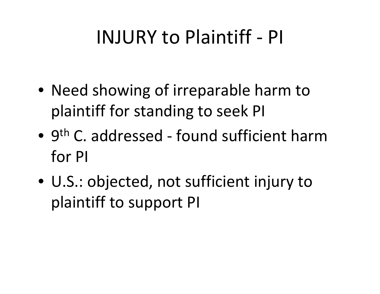#### INJURY to Plaintiff ‐ PI

- Need showing of irreparable harm to plaintiff for standing to seek PI
- 9<sup>th</sup> C. addressed found sufficient harm for PI
- U.S.: objected, not sufficient injury to plaintiff to support PI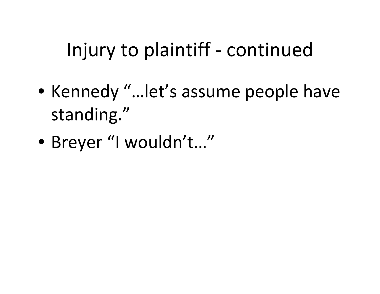## Injury to plaintiff ‐ continued

- Kennedy "…let's assume people have standing."
- Breyer "I wouldn't…"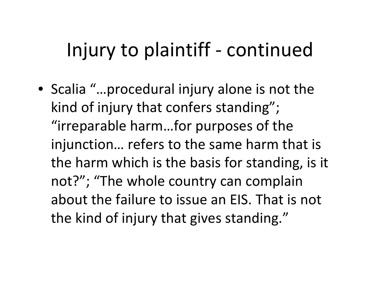### Injury to plaintiff ‐ continued

• Scalia "…procedural injury alone is not the kind of injury that confers standing"; "irreparable harm…for purposes of the injunction… refers to the same harm that is the harm which is the basis for standing, is it not?"; "The whole country can complain about the failure to issue an EIS. That is not the kind of injury that gives standing."